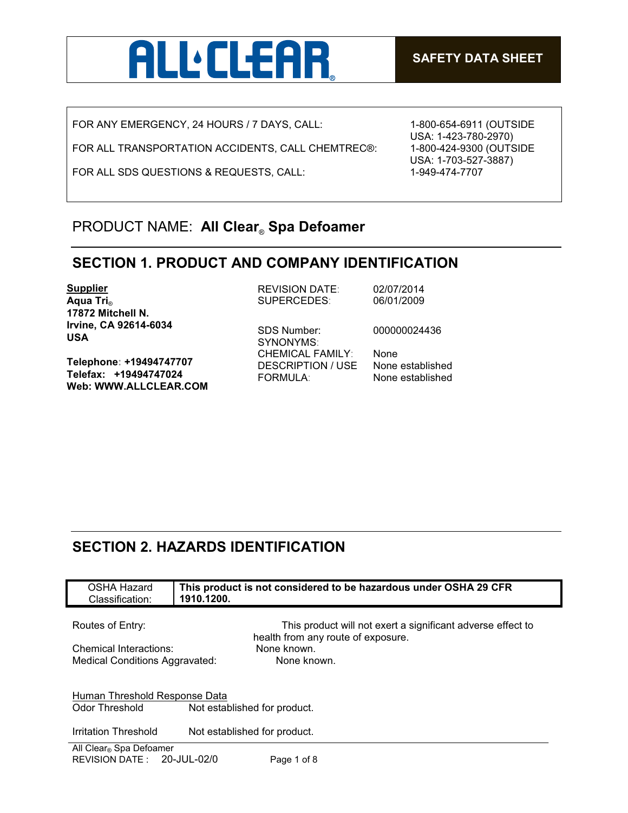

FOR ANY EMERGENCY, 24 HOURS / 7 DAYS, CALL:

FOR ALL TRANSPORTATION ACCIDENTS, CALL CHEMTREC®:

FOR ALL SDS QUESTIONS & REQUESTS, CALL:

1-800-654-6911 (OUTSIDE USA: 1-423-780-2970) 1-800-424-9300 (OUTSIDE USA: 1-703-527-3887) 1-949-474-7707

### PRODUCT NAME: **All Clear**® **Spa Defoamer**

#### **SECTION 1. PRODUCT AND COMPANY IDENTIFICATION**

SYNONYMS:

**Supplier Aqua Tri**® **17872 Mitchell N. Irvine, CA 92614-6034 USA**

**Telephone: +19494747707 Telefax: +19494747024 Web: WWW.ALLCLEAR.COM** REVISION DATE: 02/07/2014 SUPERCEDES: 06/01/2009

SDS Number: 000000024436

CHEMICAL FAMILY: None DESCRIPTION / USE None established FORMULA: None established

# **SECTION 2. HAZARDS IDENTIFICATION**

| OSHA Hazard<br>Classification:      | This product is not considered to be hazardous under OSHA 29 CFR<br>1910.1200.                    |  |
|-------------------------------------|---------------------------------------------------------------------------------------------------|--|
|                                     |                                                                                                   |  |
| Routes of Entry:                    | This product will not exert a significant adverse effect to<br>health from any route of exposure. |  |
| Chemical Interactions:              | None known.                                                                                       |  |
| Medical Conditions Aggravated:      | None known.                                                                                       |  |
| Human Threshold Response Data       |                                                                                                   |  |
| Odor Threshold                      | Not established for product.                                                                      |  |
| Irritation Threshold                | Not established for product.                                                                      |  |
| All Clear <sub>®</sub> Spa Defoamer |                                                                                                   |  |
| REVISION DATE: 20-JUL-02/0          | Page 1 of 8                                                                                       |  |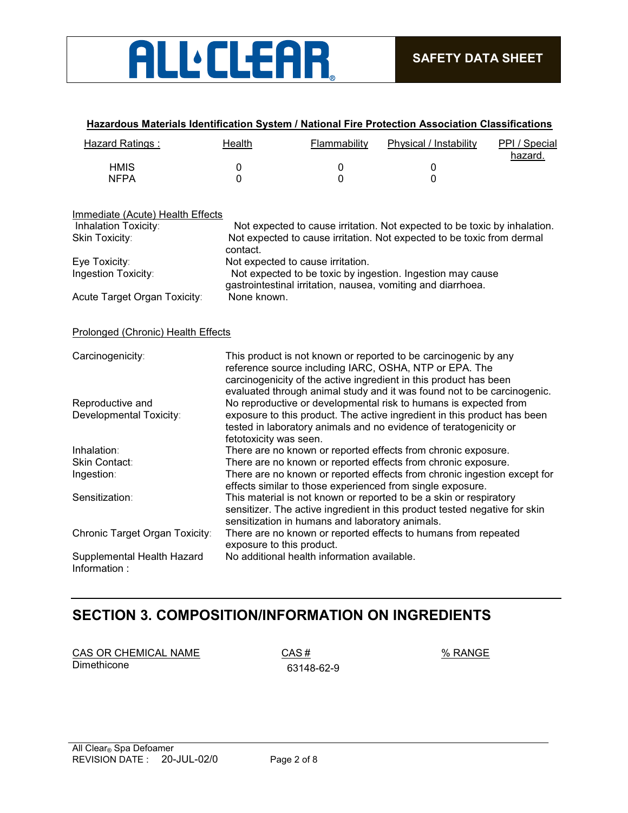

| <b>Hazard Ratings:</b>                     | Health                    | Flammability                                    | Physical / Instability                                                                                                                                                                                                                                                    | PPI / Special<br>hazard. |
|--------------------------------------------|---------------------------|-------------------------------------------------|---------------------------------------------------------------------------------------------------------------------------------------------------------------------------------------------------------------------------------------------------------------------------|--------------------------|
| <b>HMIS</b>                                | 0                         | $\mathbf 0$                                     | $\pmb{0}$                                                                                                                                                                                                                                                                 |                          |
| <b>NFPA</b>                                | $\Omega$                  | 0                                               | $\Omega$                                                                                                                                                                                                                                                                  |                          |
| Immediate (Acute) Health Effects           |                           |                                                 |                                                                                                                                                                                                                                                                           |                          |
| Inhalation Toxicity:                       |                           |                                                 | Not expected to cause irritation. Not expected to be toxic by inhalation.                                                                                                                                                                                                 |                          |
| Skin Toxicity:                             | contact.                  |                                                 | Not expected to cause irritation. Not expected to be toxic from dermal                                                                                                                                                                                                    |                          |
| Eye Toxicity:                              |                           | Not expected to cause irritation.               |                                                                                                                                                                                                                                                                           |                          |
| Ingestion Toxicity:                        |                           |                                                 | Not expected to be toxic by ingestion. Ingestion may cause<br>gastrointestinal irritation, nausea, vomiting and diarrhoea.                                                                                                                                                |                          |
| Acute Target Organ Toxicity:               | None known.               |                                                 |                                                                                                                                                                                                                                                                           |                          |
| Prolonged (Chronic) Health Effects         |                           |                                                 |                                                                                                                                                                                                                                                                           |                          |
| Carcinogenicity:                           |                           |                                                 | This product is not known or reported to be carcinogenic by any<br>reference source including IARC, OSHA, NTP or EPA. The<br>carcinogenicity of the active ingredient in this product has been<br>evaluated through animal study and it was found not to be carcinogenic. |                          |
| Reproductive and                           |                           |                                                 | No reproductive or developmental risk to humans is expected from                                                                                                                                                                                                          |                          |
| Developmental Toxicity:                    | fetotoxicity was seen.    |                                                 | exposure to this product. The active ingredient in this product has been<br>tested in laboratory animals and no evidence of teratogenicity or                                                                                                                             |                          |
| Inhalation:                                |                           |                                                 | There are no known or reported effects from chronic exposure.                                                                                                                                                                                                             |                          |
| Skin Contact:                              |                           |                                                 | There are no known or reported effects from chronic exposure.                                                                                                                                                                                                             |                          |
| Ingestion:                                 |                           |                                                 | There are no known or reported effects from chronic ingestion except for                                                                                                                                                                                                  |                          |
|                                            |                           |                                                 | effects similar to those experienced from single exposure.                                                                                                                                                                                                                |                          |
| Sensitization:                             |                           | sensitization in humans and laboratory animals. | This material is not known or reported to be a skin or respiratory<br>sensitizer. The active ingredient in this product tested negative for skin                                                                                                                          |                          |
| Chronic Target Organ Toxicity:             | exposure to this product. |                                                 | There are no known or reported effects to humans from repeated                                                                                                                                                                                                            |                          |
| Supplemental Health Hazard<br>Information: |                           | No additional health information available.     |                                                                                                                                                                                                                                                                           |                          |

#### **Hazardous Materials Identification System / National Fire Protection Association Classifications**

# **SECTION 3. COMPOSITION/INFORMATION ON INGREDIENTS**

| CAS OR CHEMICAL NAME |  |
|----------------------|--|
| Dimethicone          |  |

 $\frac{\%}{\%}$  RANGE Dimethicone 63148-62-9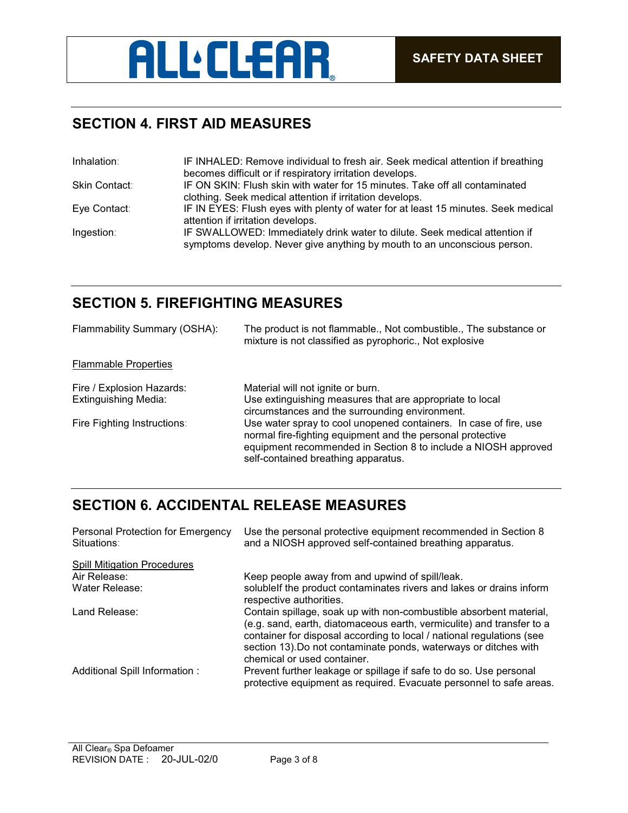# **ALL** CLEAR

## **SECTION 4. FIRST AID MEASURES**

| Inhalation:   | IF INHALED: Remove individual to fresh air. Seek medical attention if breathing                                                                        |
|---------------|--------------------------------------------------------------------------------------------------------------------------------------------------------|
|               | becomes difficult or if respiratory irritation develops.                                                                                               |
| Skin Contact: | IF ON SKIN: Flush skin with water for 15 minutes. Take off all contaminated                                                                            |
|               | clothing. Seek medical attention if irritation develops.                                                                                               |
| Eye Contact:  | IF IN EYES: Flush eyes with plenty of water for at least 15 minutes. Seek medical                                                                      |
|               | attention if irritation develops.                                                                                                                      |
| Ingestion:    | IF SWALLOWED: Immediately drink water to dilute. Seek medical attention if<br>symptoms develop. Never give anything by mouth to an unconscious person. |
|               |                                                                                                                                                        |

# **SECTION 5. FIREFIGHTING MEASURES**

| Flammability Summary (OSHA): | The product is not flammable., Not combustible., The substance or<br>mixture is not classified as pyrophoric., Not explosive                                                                                                             |
|------------------------------|------------------------------------------------------------------------------------------------------------------------------------------------------------------------------------------------------------------------------------------|
| <b>Flammable Properties</b>  |                                                                                                                                                                                                                                          |
| Fire / Explosion Hazards:    | Material will not ignite or burn.                                                                                                                                                                                                        |
| <b>Extinguishing Media:</b>  | Use extinguishing measures that are appropriate to local<br>circumstances and the surrounding environment.                                                                                                                               |
| Fire Fighting Instructions:  | Use water spray to cool unopened containers. In case of fire, use<br>normal fire-fighting equipment and the personal protective<br>equipment recommended in Section 8 to include a NIOSH approved<br>self-contained breathing apparatus. |

# **SECTION 6. ACCIDENTAL RELEASE MEASURES**

| Personal Protection for Emergency<br>Situations: | Use the personal protective equipment recommended in Section 8<br>and a NIOSH approved self-contained breathing apparatus.                                                                                                                                                                                              |
|--------------------------------------------------|-------------------------------------------------------------------------------------------------------------------------------------------------------------------------------------------------------------------------------------------------------------------------------------------------------------------------|
| <b>Spill Mitigation Procedures</b>               |                                                                                                                                                                                                                                                                                                                         |
| Air Release:                                     | Keep people away from and upwind of spill/leak.                                                                                                                                                                                                                                                                         |
| Water Release:                                   | solublelf the product contaminates rivers and lakes or drains inform<br>respective authorities.                                                                                                                                                                                                                         |
| Land Release:                                    | Contain spillage, soak up with non-combustible absorbent material,<br>(e.g. sand, earth, diatomaceous earth, vermiculite) and transfer to a<br>container for disposal according to local / national regulations (see<br>section 13). Do not contaminate ponds, waterways or ditches with<br>chemical or used container. |
| Additional Spill Information:                    | Prevent further leakage or spillage if safe to do so. Use personal<br>protective equipment as required. Evacuate personnel to safe areas.                                                                                                                                                                               |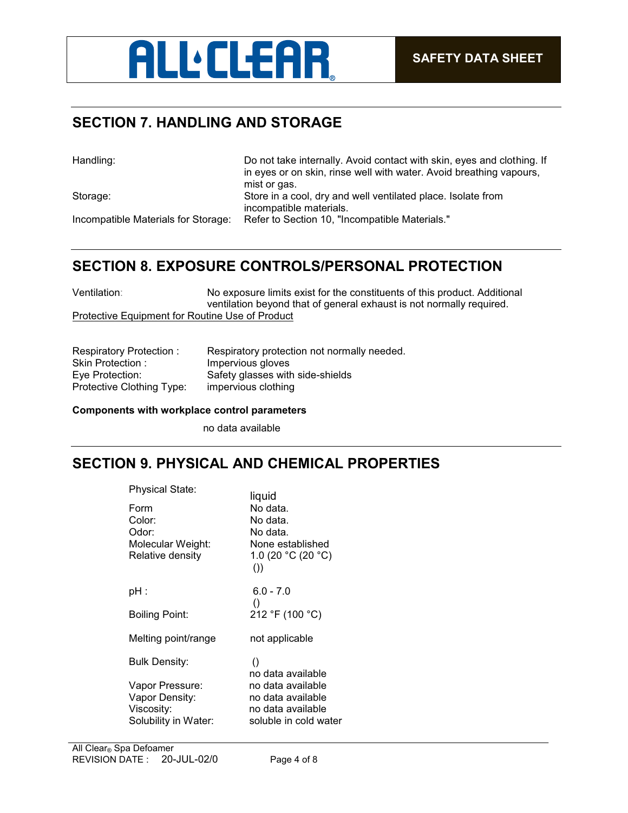

# **SECTION 7. HANDLING AND STORAGE**

| Handling:                           | Do not take internally. Avoid contact with skin, eyes and clothing. If<br>in eyes or on skin, rinse well with water. Avoid breathing vapours,<br>mist or gas. |
|-------------------------------------|---------------------------------------------------------------------------------------------------------------------------------------------------------------|
| Storage:                            | Store in a cool, dry and well ventilated place. Isolate from                                                                                                  |
|                                     | incompatible materials.                                                                                                                                       |
| Incompatible Materials for Storage: | Refer to Section 10, "Incompatible Materials."                                                                                                                |

## **SECTION 8. EXPOSURE CONTROLS/PERSONAL PROTECTION**

Ventilation: No exposure limits exist for the constituents of this product. Additional ventilation beyond that of general exhaust is not normally required. Protective Equipment for Routine Use of Product

| Respiratory Protection:   | Respiratory protection not normally needed. |
|---------------------------|---------------------------------------------|
| Skin Protection:          | Impervious gloves                           |
| Eye Protection:           | Safety glasses with side-shields            |
| Protective Clothing Type: | impervious clothing                         |

#### **Components with workplace control parameters**

no data available

#### **SECTION 9. PHYSICAL AND CHEMICAL PROPERTIES**

| Physical State:                   | liquid                                 |  |
|-----------------------------------|----------------------------------------|--|
| Form                              | No data.                               |  |
| Color:                            | No data.                               |  |
| Odor:                             | No data.                               |  |
| Molecular Weight:                 | None established<br>1.0 (20 °C (20 °C) |  |
| Relative density                  | ()                                     |  |
| pH :                              | $6.0 - 7.0$                            |  |
|                                   | $\left( \right)$                       |  |
| Boiling Point:                    | 212 °F (100 °C)                        |  |
| Melting point/range               | not applicable                         |  |
| <b>Bulk Density:</b>              | $\left( \right)$                       |  |
|                                   | no data available<br>no data available |  |
| Vapor Pressure:<br>Vapor Density: | no data available                      |  |
| Viscosity:                        | no data available                      |  |
| Solubility in Water:              | soluble in cold water                  |  |
|                                   |                                        |  |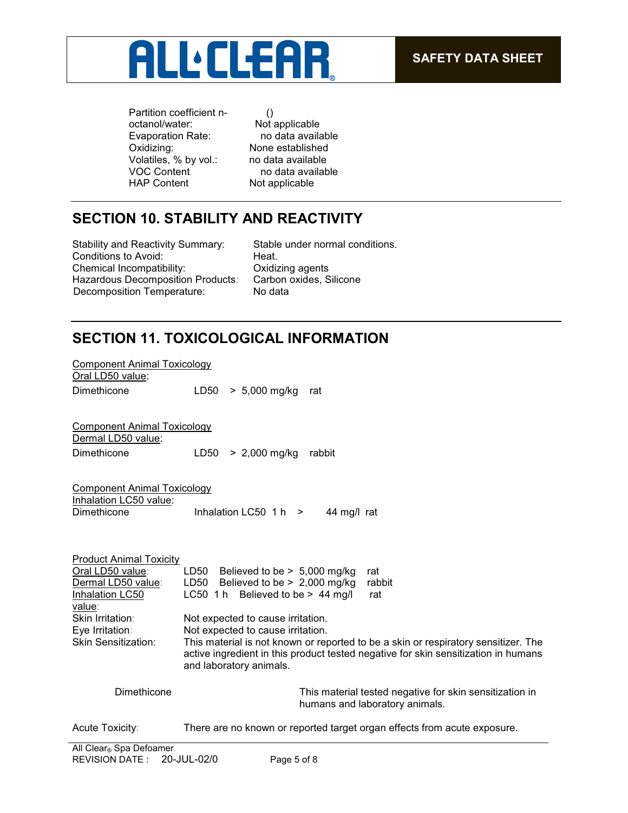

Partition coefficient noctanol/water: Evaporation Rate:<br>Oxidizing: Volatiles, % by vol.: no data available<br>VOC Content no data available VOC Content no data available<br>
HAP Content **Not applicable** 

() Not applicable<br>no data available None established Not applicable

# **SECTION 10. STABILITY AND REACTIVITY**

Stability and Reactivity Summary: Stable under normal conditions. Conditions to Avoid: Heat. Chemical Incompatibility: Oxidizing agents Hazardous Decomposition Products: Carbon oxides, Silicone Decomposition Temperature: No data

## **SECTION 11. TOXICOLOGICAL INFORMATION**

| <b>Component Animal Toxicology</b>                                                                                                                                         |                                                                                                                                                                                                                                                                                                                                                                                                                             |
|----------------------------------------------------------------------------------------------------------------------------------------------------------------------------|-----------------------------------------------------------------------------------------------------------------------------------------------------------------------------------------------------------------------------------------------------------------------------------------------------------------------------------------------------------------------------------------------------------------------------|
| Oral LD50 value:<br>Dimethicone                                                                                                                                            | LD50<br>$> 5,000$ mg/kg<br>rat                                                                                                                                                                                                                                                                                                                                                                                              |
| Component Animal Toxicology<br>Dermal LD50 value:<br>Dimethicone                                                                                                           | LD50<br>$> 2,000$ mg/kg<br>rabbit                                                                                                                                                                                                                                                                                                                                                                                           |
| <b>Component Animal Toxicology</b><br>Inhalation LC50 value:<br>Dimethicone                                                                                                | Inhalation LC50 $1 h$ ><br>44 mg/l rat                                                                                                                                                                                                                                                                                                                                                                                      |
| <b>Product Animal Toxicity</b><br>Oral LD50 value:<br>Dermal LD50 value:<br>Inhalation LC50<br>value:<br>Skin Irritation:<br>Eye Irritation:<br><b>Skin Sensitization:</b> | LD50 Believed to be $> 5,000$ mg/kg<br>rat<br>Believed to be $> 2,000$ mg/kg<br>LD50<br>rabbit<br>LC50 1 h Believed to be > 44 mg/l<br>rat<br>Not expected to cause irritation.<br>Not expected to cause irritation.<br>This material is not known or reported to be a skin or respiratory sensitizer. The<br>active ingredient in this product tested negative for skin sensitization in humans<br>and laboratory animals. |
| Dimethicone                                                                                                                                                                | This material tested negative for skin sensitization in<br>humans and laboratory animals.                                                                                                                                                                                                                                                                                                                                   |
| Acute Toxicity:                                                                                                                                                            | There are no known or reported target organ effects from acute exposure.                                                                                                                                                                                                                                                                                                                                                    |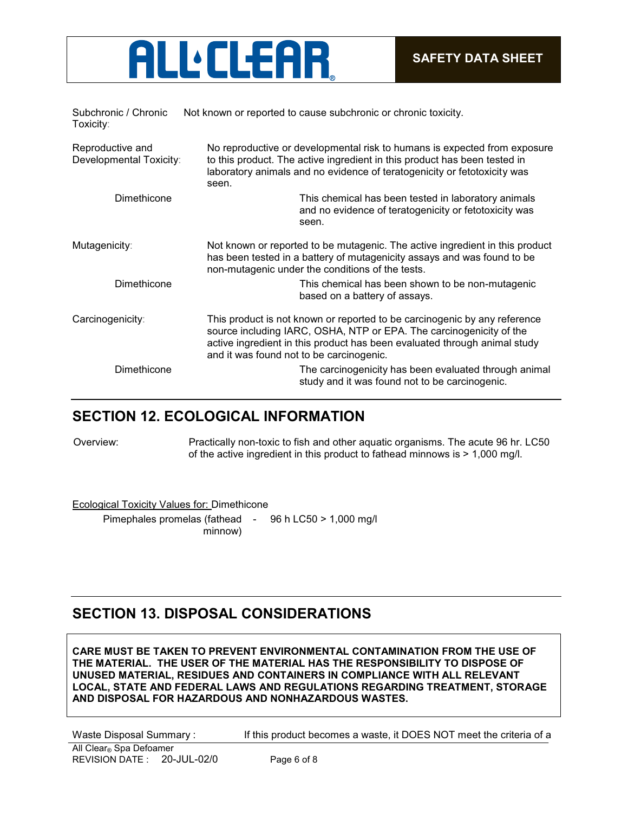

| Subchronic / Chronic<br>Toxicity:           | Not known or reported to cause subchronic or chronic toxicity.                                                                                                                                                                                                            |  |
|---------------------------------------------|---------------------------------------------------------------------------------------------------------------------------------------------------------------------------------------------------------------------------------------------------------------------------|--|
| Reproductive and<br>Developmental Toxicity: | No reproductive or developmental risk to humans is expected from exposure<br>to this product. The active ingredient in this product has been tested in<br>laboratory animals and no evidence of teratogenicity or fetotoxicity was<br>seen.                               |  |
| Dimethicone                                 | This chemical has been tested in laboratory animals<br>and no evidence of teratogenicity or fetotoxicity was<br>seen.                                                                                                                                                     |  |
| Mutagenicity:                               | Not known or reported to be mutagenic. The active ingredient in this product<br>has been tested in a battery of mutagenicity assays and was found to be<br>non-mutagenic under the conditions of the tests.                                                               |  |
| Dimethicone                                 | This chemical has been shown to be non-mutagenic<br>based on a battery of assays.                                                                                                                                                                                         |  |
| Carcinogenicity:                            | This product is not known or reported to be carcinogenic by any reference<br>source including IARC, OSHA, NTP or EPA. The carcinogenicity of the<br>active ingredient in this product has been evaluated through animal study<br>and it was found not to be carcinogenic. |  |
| Dimethicone                                 | The carcinogenicity has been evaluated through animal<br>study and it was found not to be carcinogenic.                                                                                                                                                                   |  |

#### **SECTION 12. ECOLOGICAL INFORMATION**

Overview: Practically non-toxic to fish and other aquatic organisms. The acute 96 hr. LC50 of the active ingredient in this product to fathead minnows is > 1,000 mg/l.

Ecological Toxicity Values for: Dimethicone

Pimephales promelas (fathead - 96 h LC50 > 1,000 mg/l minnow)

## **SECTION 13. DISPOSAL CONSIDERATIONS**

**CARE MUST BE TAKEN TO PREVENT ENVIRONMENTAL CONTAMINATION FROM THE USE OF THE MATERIAL. THE USER OF THE MATERIAL HAS THE RESPONSIBILITY TO DISPOSE OF UNUSED MATERIAL, RESIDUES AND CONTAINERS IN COMPLIANCE WITH ALL RELEVANT LOCAL, STATE AND FEDERAL LAWS AND REGULATIONS REGARDING TREATMENT, STORAGE AND DISPOSAL FOR HAZARDOUS AND NONHAZARDOUS WASTES.** 

Waste Disposal Summary : If this product becomes a waste, it DOES NOT meet the criteria of a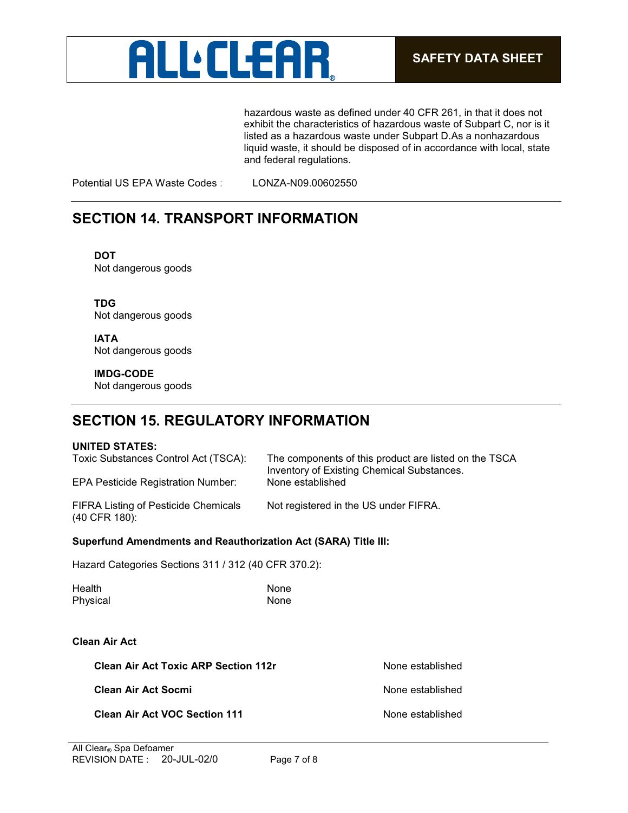

hazardous waste as defined under 40 CFR 261, in that it does not exhibit the characteristics of hazardous waste of Subpart C, nor is it listed as a hazardous waste under Subpart D.As a nonhazardous liquid waste, it should be disposed of in accordance with local, state and federal regulations.

Potential US EPA Waste Codes : LONZA-N09.00602550

### **SECTION 14. TRANSPORT INFORMATION**

**DOT** Not dangerous goods

**TDG** Not dangerous goods

**IATA** Not dangerous goods

**IMDG-CODE** Not dangerous goods

## **SECTION 15. REGULATORY INFORMATION**

#### **UNITED STATES:**

Toxic Substances Control Act (TSCA): The components of this product are listed on the TSCA Inventory of Existing Chemical Substances.<br>None established EPA Pesticide Registration Number:

FIFRA Listing of Pesticide Chemicals (40 CFR 180):

Not registered in the US under FIFRA.

#### **Superfund Amendments and Reauthorization Act (SARA) Title III:**

Hazard Categories Sections 311 / 312 (40 CFR 370.2):

| Health   | None |
|----------|------|
| Physical | None |

#### **Clean Air Act**

**Clean Air Act Toxic ARP Section 112r** None established

**Clean Air Act Socmi** None established

**Clean Air Act VOC Section 111** None established